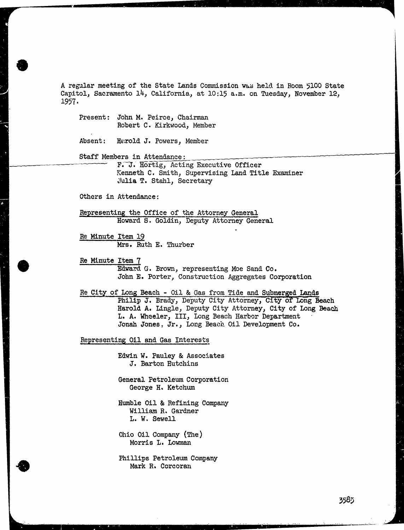A regular meeting of the State Lands Commission was held in Room 5100 State Capitol, Sacramento 14, California, at 10:15 a.m. on Tuesday, November 12, 1957-

Present: John M. Peirce, Chairman Robert C. Kirkwood, Member

Absent: Harold J. Powers, Member

Staff Members in Attendance:

F. J. Hortig, Acting Executive Officer Kenneth C. Smith, Supervising Land Title Examiner Julia T. Stahl, Secretary

Others in Attendance :

Representing the Office of the Attorney General Howard S. Goldin, Deputy Attorney General

Re Minute Item 19 Mrs. Ruth E. Thurber

Re Minute Item ? Edward G. Brown, representing Moe Sand Co. John E. Porter, Construction Aggregates Corporation

Re City of Long Beach - Oil & Gas from Tide and Submerged Lands Philip J. Brady, Deputy City Attorney, City of Long Beach Harold A. Lingle, Deputy City Attorney, City of Long Beach L. A. Wheeler, III, Long Reach Harbor Department Jonah Jones, Jr., Long Beach Oil Development Co.

Representing Oil and Gas Interests

Edwin W. Pauley & Associates J. Barton Hutchins

General Petroleum Corporation George H. Ketchum

Humble Oil & Refining Company William R. Gardner L. W. Sewell

Ohio Oil Company (The) Morris L. Lowman

Phillips Petroleum Company Mark R. Corcoran

3583